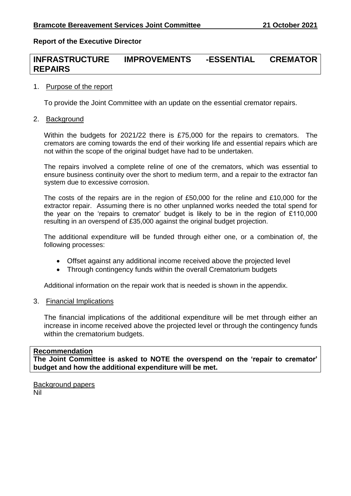# **Report of the Executive Director**

# **INFRASTRUCTURE IMPROVEMENTS -ESSENTIAL CREMATOR REPAIRS**

## 1. Purpose of the report

To provide the Joint Committee with an update on the essential cremator repairs.

## 2. Background

Within the budgets for 2021/22 there is £75,000 for the repairs to cremators. The cremators are coming towards the end of their working life and essential repairs which are not within the scope of the original budget have had to be undertaken.

The repairs involved a complete reline of one of the cremators, which was essential to ensure business continuity over the short to medium term, and a repair to the extractor fan system due to excessive corrosion.

The costs of the repairs are in the region of £50,000 for the reline and £10,000 for the extractor repair. Assuming there is no other unplanned works needed the total spend for the year on the 'repairs to cremator' budget is likely to be in the region of £110,000 resulting in an overspend of £35,000 against the original budget projection.

The additional expenditure will be funded through either one, or a combination of, the following processes:

- Offset against any additional income received above the projected level
- Through contingency funds within the overall Crematorium budgets

Additional information on the repair work that is needed is shown in the appendix.

#### 3. Financial Implications

The financial implications of the additional expenditure will be met through either an increase in income received above the projected level or through the contingency funds within the crematorium budgets.

## **Recommendation**

**The Joint Committee is asked to NOTE the overspend on the 'repair to cremator' budget and how the additional expenditure will be met.**

Background papers Nil